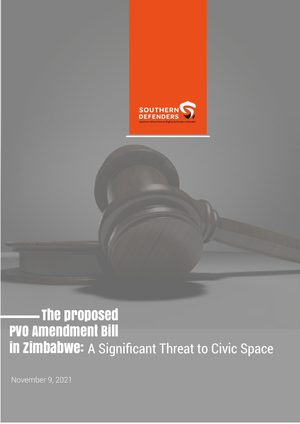

# PVO Amendment Bill In ZIMbabwe: A Significant Threat to Civic Space The proposed

November 9, 2021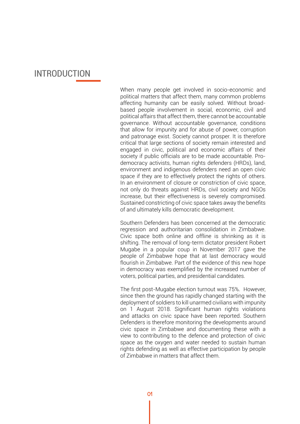### INTRODUCTION

When many people get involved in socio-economic and political matters that affect them, many common problems affecting humanity can be easily solved. Without broadbased people involvement in social, economic, civil and political affairs that affect them, there cannot be accountable governance. Without accountable governance, conditions that allow for impunity and for abuse of power, corruption and patronage exist. Society cannot prosper. It is therefore critical that large sections of society remain interested and engaged in civic, political and economic affairs of their society if public officials are to be made accountable. Prodemocracy activists, human rights defenders (HRDs), land, environment and indigenous defenders need an open civic space if they are to effectively protect the rights of others. In an environment of closure or constriction of civic space, not only do threats against HRDs, civil society and NGOs increase, but their effectiveness is severely compromised. Sustained constricting of civic space takes away the benefits of and ultimately kills democratic development.

Southern Defenders has been concerned at the democratic regression and authoritarian consolidation in Zimbabwe. Civic space both online and offline is shrinking as it is shifting. The removal of long-term dictator president Robert Mugabe in a popular coup in November 2017 gave the people of Zimbabwe hope that at last democracy would flourish in Zimbabwe. Part of the evidence of this new hope in democracy was exemplified by the increased number of voters, political parties, and presidential candidates.

The first post-Mugabe election turnout was 75%. However, since then the ground has rapidly changed starting with the deployment of soldiers to kill unarmed civilians with impunity on 1 August 2018. Significant human rights violations and attacks on civic space have been reported. Southern Defenders is therefore monitoring the developments around civic space in Zimbabwe and documenting these with a view to contributing to the defence and protection of civic space as the oxygen and water needed to sustain human rights defending as well as effective participation by people of Zimbabwe in matters that affect them.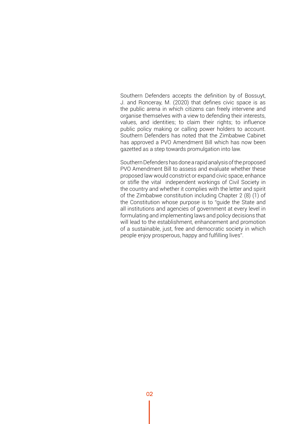Southern Defenders accepts the definition by of Bossuyt, J. and Ronceray, M. (2020) that defines civic space is as the public arena in which citizens can freely intervene and organise themselves with a view to defending their interests, values, and identities; to claim their rights; to influence public policy making or calling power holders to account. Southern Defenders has noted that the Zimbabwe Cabinet has approved a PVO Amendment Bill which has now been gazetted as a step towards promulgation into law.

Southern Defenders has done a rapid analysis of the proposed PVO Amendment Bill to assess and evaluate whether these proposed law would constrict or expand civic space, enhance or stifle the vital independent workings of Civil Society in the country and whether it complies with the letter and spirit of the Zimbabwe constitution including Chapter 2 (8) (1) of the Constitution whose purpose is to "guide the State and all institutions and agencies of government at every level in formulating and implementing laws and policy decisions that will lead to the establishment, enhancement and promotion of a sustainable, just, free and democratic society in which people enjoy prosperous, happy and fulfilling lives".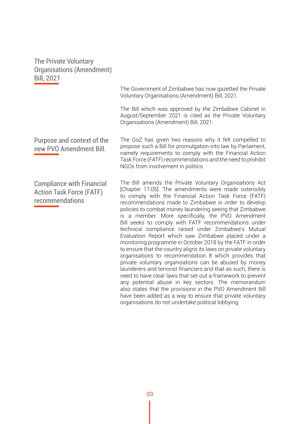The Private Voluntary Organisations (Amendment) Bill, 2021

> The Government of Zimbabwe has now gazetted the Private Voluntary Organisations (Amendment) Bill, 2021.

> The Bill which was approved by the Zimbabwe Cabinet in August/September 2021 is cited as the Private Voluntary Organisations (Amendment) Bill, 2021.

Purpose and context of the new PVO Amendment Bill.

Compliance with Financial Action Task Force (FATF) recommendations

The GoZ has given two reasons why it felt compelled to propose such a Bill for promulgation into law by Parliament, namely requirements to comply with the Financial Action Task Force (FATF) recommendations and the need to prohibit NGOs from involvement in politics

The Bill amends the Private Voluntary Organisations Act [Chapter 17:05]. The amendments were made ostensibly to comply with the Financial Action Task Force (FATF) recommendations made to Zimbabwe in order to develop policies to combat money laundering seeing that Zimbabwe is a member. More specifically, the PVO Amendment Bill seeks to comply with FATF recommendations under technical compliance raised under Zimbabwe's Mutual Evaluation Report which saw Zimbabwe placed under a monitoring programme in October 2018 by the FATF in order to ensure that the country aligns its laws on private voluntary organisations to recommendation 8 which provides that private voluntary organisations can be abused by money launderers and terrorist financiers and that as such, there is need to have clear laws that set out a framework to prevent any potential abuse in key sectors. The memorandum also states that the provisions in the PVO Amendment Bill have been added as a way to ensure that private voluntary organisations do not undertake political lobbying.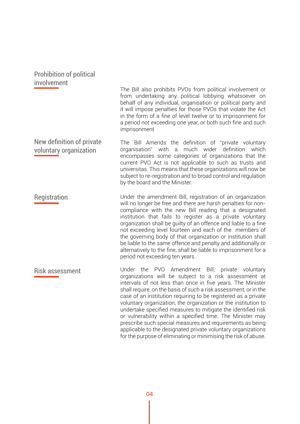| <b>Prohibition of political</b><br>involvement      | The Bill also prohibits PVOs from political involvement or<br>from undertaking any political lobbying whatsoever on<br>behalf of any individual, organisation or political party and<br>it will impose penalties for those PVOs that violate the Act<br>in the form of a fine of level twelve or to imprisonment for<br>a period not exceeding one year, or both such fine and such<br>imprisonment                                                                                                                                                                                                                                                                                                           |
|-----------------------------------------------------|---------------------------------------------------------------------------------------------------------------------------------------------------------------------------------------------------------------------------------------------------------------------------------------------------------------------------------------------------------------------------------------------------------------------------------------------------------------------------------------------------------------------------------------------------------------------------------------------------------------------------------------------------------------------------------------------------------------|
| New definition of private<br>voluntary organization | The Bill Amends the definition of "private voluntary<br>with<br>wider<br>definition<br>organisation"<br>much<br>which<br>a<br>encompasses some categories of organizations that the<br>current PVO Act is not applicable to such as trusts and<br>universitas. This means that these organizations will now be<br>subject to re-registration and to broad control and requlation<br>by the board and the Minister.                                                                                                                                                                                                                                                                                            |
| Registration                                        | Under the amendment Bill, registration of an organization<br>will no longer be free and there are harsh penalties for non-<br>compliance with the new Bill reading that a designated<br>institution that fails to register as a private voluntary<br>organization shall be guilty of an offence and liable to a fine<br>not exceeding level fourteen and each of the members of<br>the governing body of that organization or institution shall<br>be liable to the same offence and penalty and additionally or<br>alternatively to the fine, shall be liable to imprisonment for a<br>period not exceeding ten years.                                                                                       |
| <b>Risk assessment</b>                              | Under the PVO Amendment Bill, private voluntary<br>organizations will be subject to a risk assessment at<br>intervals of not less than once in five years. The Minister<br>shall require, on the basis of such a risk assessment, or in the<br>case of an institution requiring to be registered as a private<br>voluntary organization, the organization or the institution to<br>undertake specified measures to mitigate the identified risk<br>or vulnerability within a specified time. The Minister may<br>prescribe such special measures and requirements as being<br>applicable to the designated private voluntary organizations<br>for the purpose of eliminating or minimising the risk of abuse. |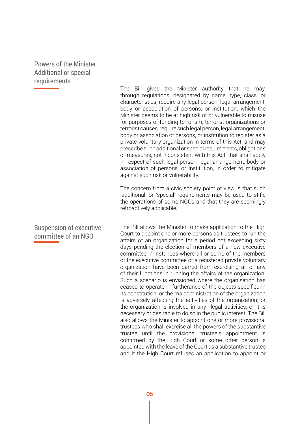#### Powers of the Minister Additional or special requirements

### Suspension of executive committee of an NGO

The Bill gives the Minister authority that he may, through regulations, designated by name, type, class, or characteristics, require any legal person, legal arrangement, body or association of persons, or institution, which the Minister deems to be at high risk of or vulnerable to misuse for purposes of funding terrorism, terrorist organizations or terrorist causes, require such legal person, legal arrangement, body or association of persons, or institution to register as a private voluntary organization in terms of this Act; and may prescribe such additional or special requirements, obligations or measures, not inconsistent with this Act, that shall apply in respect of such legal person, legal arrangement, body or association of persons, or institution, in order to mitigate against such risk or vulnerability.

The concern from a civic society point of view is that such 'additional' or 'special' requirements may be used to stifle the operations of some NGOs and that they are seemingly retroactively applicable.

The Bill allows the Minister to make application to the High Court to appoint one or more persons as trustees to run the affairs of an organization for a period not exceeding sixty days pending the election of members of a new executive committee in instances where all or some of the members of the executive committee of a registered private voluntary organization have been barred from exercising all or any of their functions in running the affairs of the organization. Such a scenario is envisioned where the organisation has ceased to operate in furtherance of the objects specified in its constitution; or the maladministration of the organization is adversely affecting the activities of the organization; or the organization is involved in any illegal activities; or it is necessary or desirable to do so in the public interest. The Bill also allows the Minister to appoint one or more provisional trustees who shall exercise all the powers of the substantive trustee until the provisional trustee's appointment is confirmed by the High Court or some other person is appointed with the leave of the Court as a substantive trustee and If the High Court refuses an application to appoint or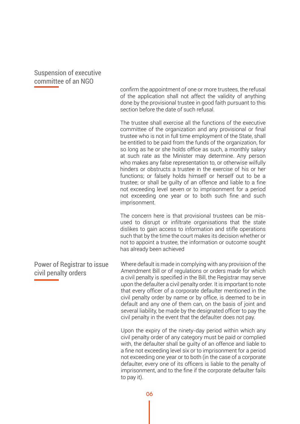Suspension of executive committee of an NGO

> confirm the appointment of one or more trustees, the refusal of the application shall not affect the validity of anything done by the provisional trustee in good faith pursuant to this section before the date of such refusal.

> The trustee shall exercise all the functions of the executive committee of the organization and any provisional or final trustee who is not in full time employment of the State, shall be entitled to be paid from the funds of the organization, for so long as he or she holds office as such, a monthly salary at such rate as the Minister may determine. Any person who makes any false representation to, or otherwise wilfully hinders or obstructs a trustee in the exercise of his or her functions; or falsely holds himself or herself out to be a trustee; or shall be guilty of an offence and liable to a fine not exceeding level seven or to imprisonment for a period not exceeding one year or to both such fine and such imprisonment.

> The concern here is that provisional trustees can be misused to disrupt or infiltrate organisations that the state dislikes to gain access to information and stifle operations such that by the time the court makes its decision whether or not to appoint a trustee, the information or outcome sought has already been achieved

Where default is made in complying with any provision of the Amendment Bill or of regulations or orders made for which a civil penalty is specified in the Bill, the Registrar may serve upon the defaulter a civil penalty order. It is important to note that every officer of a corporate defaulter mentioned in the civil penalty order by name or by office, is deemed to be in default and any one of them can, on the basis of joint and several liability, be made by the designated officer to pay the civil penalty in the event that the defaulter does not pay.

> Upon the expiry of the ninety-day period within which any civil penalty order of any category must be paid or complied with, the defaulter shall be guilty of an offence and liable to a fine not exceeding level six or to imprisonment for a period not exceeding one year or to both (in the case of a corporate defaulter, every one of its officers is liable to the penalty of imprisonment, and to the fine if the corporate defaulter fails to pay it).

Power of Registrar to issue civil penalty orders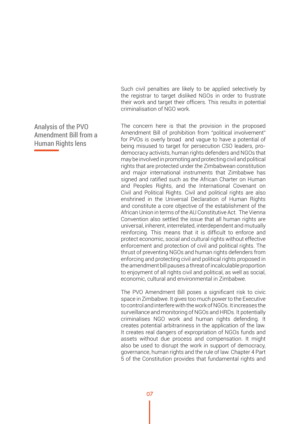Such civil penalties are likely to be applied selectively by the registrar to target disliked NGOs in order to frustrate their work and target their officers. This results in potential criminalisation of NGO work.

The concern here is that the provision in the proposed Amendment Bill of prohibition from "political involvement" for PVOs is overly broad and vague to have a potential of being misused to target for persecution CSO leaders, prodemocracy activists, human rights defenders and NGOs that may be involved in promoting and protecting civil and political rights that are protected under the Zimbabwean constitution and major international instruments that Zimbabwe has signed and ratified such as the African Charter on Human and Peoples Rights, and the International Covenant on Civil and Political Rights. Civil and political rights are also enshrined in the Universal Declaration of Human Rights and constitute a core objective of the establishment of the African Union in terms of the AU Constitutive Act. The Vienna Convention also settled the issue that all human rights are universal, inherent, interrelated, interdependent and mutually reinforcing. This means that it is difficult to enforce and protect economic, social and cultural rights without effective enforcement and protection of civil and political rights. The thrust of preventing NGOs and human rights defenders from enforcing and protecting civil and political rights proposed in the amendment bill pauses a threat of incalculable proportion to enjoyment of all rights civil and political, as well as social, economic, cultural and environmental in Zimbabwe.

The PVO Amendment Bill poses a significant risk to civic space in Zimbabwe. It gives too much power to the Executive to control and interfere with the work of NGOs. It increases the surveillance and monitoring of NGOs and HRDs. It potentially criminalises NGO work and human rights defending. It creates potential arbitrariness in the application of the law. It creates real dangers of expropriation of NGOs funds and assets without due process and compensation. It might also be used to disrupt the work in support of democracy, governance, human rights and the rule of law. Chapter 4 Part 5 of the Constitution provides that fundamental rights and

#### Analysis of the PVO Amendment Bill from a Human Rights lens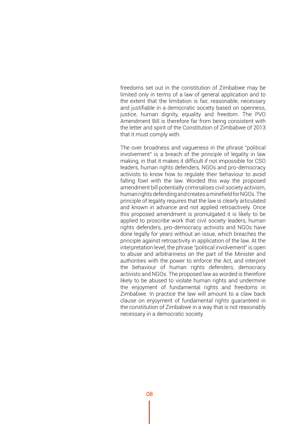freedoms set out in the constitution of Zimbabwe may be limited only in terms of a law of general application and to the extent that the limitation is fair, reasonable, necessary and justifiable in a democratic society based on openness, justice, human dignity, equality and freedom. The PVO Amendment Bill is therefore far from being consistent with the letter and spirit of the Constitution of Zimbabwe of 2013 that it must comply with.

The over broadness and vagueness in the phrase "political involvement" is a breach of the principle of legality in law making, in that it makes it difficult if not impossible for CSO leaders, human rights defenders, NGOs and pro-democracy activists to know how to regulate their behaviour to avoid falling fowl with the law. Worded this way the proposed amendment bill potentially criminalises civil society activism, human rights defending and creates a minefield for NGOs. The principle of legality requires that the law is clearly articulated and known in advance and not applied retroactively. Once this proposed amendment is promulgated it is likely to be applied to proscribe work that civil society leaders, human rights defenders, pro-democracy activists and NGOs have done legally for years without an issue, which breaches the principle against retroactivity in application of the law. At the interpretation level, the phrase "political involvement" is open to abuse and arbitrariness on the part of the Minister and authorities with the power to enforce the Act, and interpret the behaviour of human rights defenders, democracy activists and NGOs. The proposed law as worded is therefore likely to be abused to violate human rights and undermine the enjoyment of fundamental rights and freedoms in Zimbabwe. In practice the law will amount to a claw back clause on enjoyment of fundamental rights guaranteed in the constitution of Zimbabwe in a way that is not reasonably necessary in a democratic society.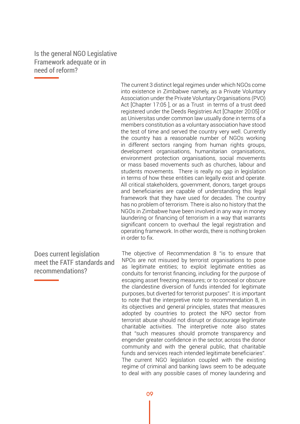Is the general NGO Legislative Framework adequate or in need of reform?

> The current 3 distinct legal regimes under which NGOs come into existence in Zimbabwe namely, as a Private Voluntary Association under the Private Voluntary Organisations (PVO) Act [Chapter 17:05 ], or as a Trust in terms of a trust deed registered under the Deeds Registries Act [Chapter 20:05] or as Universitas under common law usually done in terms of a members constitution as a voluntary association have stood the test of time and served the country very well. Currently the country has a reasonable number of NGOs working in different sectors ranging from human rights groups, development organisations, humanitarian organisations, environment protection organisations, social movements or mass based movements such as churches, labour and students movements. There is really no gap in legislation in terms of how these entities can legally exist and operate. All critical stakeholders, government, donors, target groups and beneficiaries are capable of understanding this legal framework that they have used for decades. The country has no problem of terrorism. There is also no history that the NGOs in Zimbabwe have been involved in any way in money laundering or financing of terrorism in a way that warrants significant concern to overhaul the legal registration and operating framework. In other words, there is nothing broken in order to fix.

Does current legislation meet the FATF standards and recommendations?

The objective of Recommendation 8 "is to ensure that NPOs are not misused by terrorist organisations to pose as legitimate entities; to exploit legitimate entities as conduits for terrorist financing, including for the purpose of escaping asset freezing measures; or to conceal or obscure the clandestine diversion of funds intended for legitimate purposes, but diverted for terrorist purposes". It is important to note that the interpretive note to recommendation 8, in its objectives and general principles, states that measures adopted by countries to protect the NPO sector from terrorist abuse should not disrupt or discourage legitimate charitable activities. The interpretive note also states that "such measures should promote transparency and engender greater confidence in the sector, across the donor community and with the general public, that charitable funds and services reach intended legitimate beneficiaries". The current NGO legislation coupled with the existing regime of criminal and banking laws seem to be adequate to deal with any possible cases of money laundering and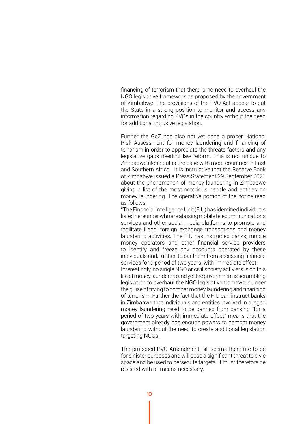financing of terrorism that there is no need to overhaul the NGO legislative framework as proposed by the government of Zimbabwe. The provisions of the PVO Act appear to put the State in a strong position to monitor and access any information regarding PVOs in the country without the need for additional intrusive legislation.

Further the GoZ has also not yet done a proper National Risk Assessment for money laundering and financing of terrorism in order to appreciate the threats factors and any legislative gaps needing law reform. This is not unique to Zimbabwe alone but is the case with most countries in East and Southern Africa. It is instructive that the Reserve Bank of Zimbabwe issued a Press Statement 29 September 2021 about the phenomenon of money laundering in Zimbabwe giving a list of the most notorious people and entities on money laundering. The operative portion of the notice read as follows:

"The Financial Intelligence Unit (FIU) has identified individuals listed hereunder who are abusing mobile telecommunications services and other social media platforms to promote and facilitate illegal foreign exchange transactions and money laundering activities. The FIU has instructed banks, mobile money operators and other financial service providers to identify and freeze any accounts operated by these individuals and, further, to bar them from accessing financial services for a period of two years, with immediate effect."

Interestingly, no single NGO or civil society activists is on this list of money launderers and yet the government is scrambling legislation to overhaul the NGO legislative framework under the guise of trying to combat money laundering and financing of terrorism. Further the fact that the FIU can instruct banks in Zimbabwe that individuals and entities involved in alleged money laundering need to be banned from banking "for a period of two years with immediate effect" means that the government already has enough powers to combat money laundering without the need to create additional legislation targeting NGOs.

The proposed PVO Amendment Bill seems therefore to be for sinister purposes and will pose a significant threat to civic space and be used to persecute targets. It must therefore be resisted with all means necessary.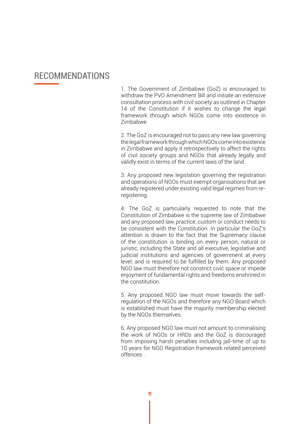## RECOMMENDATIONS

1. The Government of Zimbabwe (GoZ) is encouraged to withdraw the PVO Amendment Bill and initiate an extensive consultation process with civil society as outlined in Chapter 14 of the Constitution if it wishes to change the legal framework through which NGOs come into existence in Zimbabwe

. 2. The GoZ is encouraged not to pass any new law governing the legal framework through which NGOs come into existence in Zimbabwe and apply it retrospectively to affect the rights of civil society groups and NGOs that already legally and validly exist in terms of the current laws of the land.

3. Any proposed new legislation governing the registration and operations of NGOs must exempt organisations that are already registered under existing valid legal regimes from reregistering.

4. The GoZ is particularly requested to note that the Constitution of Zimbabwe is the supreme law of Zimbabwe and any proposed law, practice, custom or conduct needs to be consistent with the Constitution. In particular the GoZ's attention is drawn to the fact that the Supremacy clause of the constitution is binding on every person, natural or juristic, including the State and all executive, legislative and judicial institutions and agencies of government at every level, and is required to be fulfilled by them. Any proposed NGO law must therefore not constrict civic space or impede enjoyment of fundamental rights and freedoms enshrined in the constitution.

5. Any proposed NGO law must move towards the selfregulation of the NGOs and therefore any NGO Board which is established must have the majority membership elected by the NGOs themselves.

6. Any proposed NGO law must not amount to criminalising the work of NGOs or HRDs and the GoZ is discouraged from imposing harsh penalties including jail-time of up to 10 years for NGO Registration framework related perceived offences. .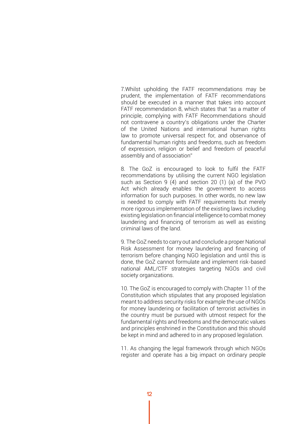7.Whilst upholding the FATF recommendations may be prudent, the implementation of FATF recommendations should be executed in a manner that takes into account FATF recommendation 8, which states that "as a matter of principle, complying with FATF Recommendations should not contravene a country's obligations under the Charter of the United Nations and international human rights law to promote universal respect for, and observance of fundamental human rights and freedoms, such as freedom of expression, religion or belief and freedom of peaceful assembly and of association"

8. The GoZ is encouraged to look to fulfil the FATF recommendations by utilising the current NGO legislation such as Section 9 (4) and section 20 (1) (a) of the PVO Act which already enables the government to access information for such purposes. In other words, no new law is needed to comply with FATF requirements but merely more rigorous implementation of the existing laws including existing legislation on financial intelligence to combat money laundering and financing of terrorism as well as existing criminal laws of the land.

9. The GoZ needs to carry out and conclude a proper National Risk Assessment for money laundering and financing of terrorism before changing NGO legislation and until this is done, the GoZ cannot formulate and implement risk-based national AML/CTF strategies targeting NGOs and civil society organizations.

10. The GoZ is encouraged to comply with Chapter 11 of the Constitution which stipulates that any proposed legislation meant to address security risks for example the use of NGOs for money laundering or facilitation of terrorist activities in the country must be pursued with utmost respect for the fundamental rights and freedoms and the democratic values and principles enshrined in the Constitution and this should be kept in mind and adhered to in any proposed legislation.

11. As changing the legal framework through which NGOs register and operate has a big impact on ordinary people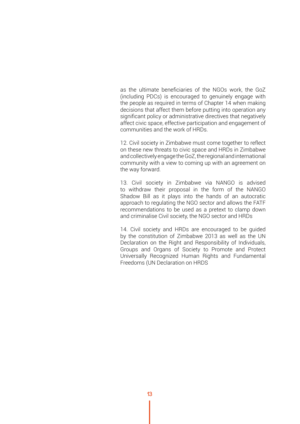as the ultimate beneficiaries of the NGOs work, the GoZ (including PDCs) is encouraged to genuinely engage with the people as required in terms of Chapter 14 when making decisions that affect them before putting into operation any significant policy or administrative directives that negatively affect civic space, effective participation and engagement of communities and the work of HRDs.

12. Civil society in Zimbabwe must come together to reflect on these new threats to civic space and HRDs in Zimbabwe and collectively engage the GoZ, the regional and international community with a view to coming up with an agreement on the way forward.

13. Civil society in Zimbabwe via NANGO is advised to withdraw their proposal in the form of the NANGO Shadow Bill as it plays into the hands of an autocratic approach to regulating the NGO sector and allows the FATF recommendations to be used as a pretext to clamp down and criminalise Civil society, the NGO sector and HRDs

14. Civil society and HRDs are encouraged to be guided by the constitution of Zimbabwe 2013 as well as the UN Declaration on the Right and Responsibility of Individuals, Groups and Organs of Society to Promote and Protect Universally Recognized Human Rights and Fundamental Freedoms (UN Declaration on HRDS